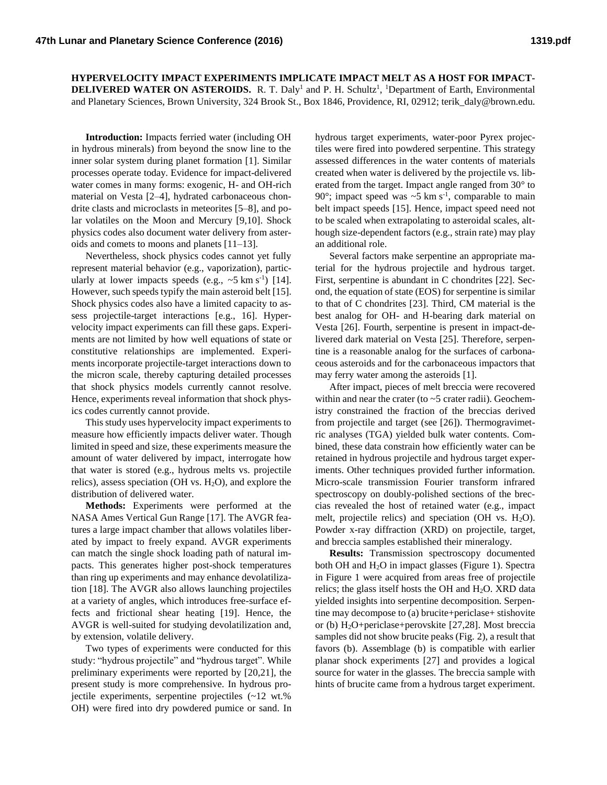**HYPERVELOCITY IMPACT EXPERIMENTS IMPLICATE IMPACT MELT AS A HOST FOR IMPACT-DELIVERED WATER ON ASTEROIDS.** R. T. Daly<sup>1</sup> and P. H. Schultz<sup>1</sup>, <sup>1</sup>Department of Earth, Environmental and Planetary Sciences, Brown University, 324 Brook St., Box 1846, Providence, RI, 02912; terik\_daly@brown.edu.

**Introduction:** Impacts ferried water (including OH in hydrous minerals) from beyond the snow line to the inner solar system during planet formation [1]. Similar processes operate today. Evidence for impact-delivered water comes in many forms: exogenic, H- and OH-rich material on Vesta [2–4], hydrated carbonaceous chondrite clasts and microclasts in meteorites [5–8], and polar volatiles on the Moon and Mercury [9,10]. Shock physics codes also document water delivery from asteroids and comets to moons and planets [11–13].

Nevertheless, shock physics codes cannot yet fully represent material behavior (e.g., vaporization), particularly at lower impacts speeds (e.g.,  $\sim$ 5 km s<sup>-1</sup>) [14]. However, such speeds typify the main asteroid belt [15]. Shock physics codes also have a limited capacity to assess projectile-target interactions [e.g., 16]. Hypervelocity impact experiments can fill these gaps. Experiments are not limited by how well equations of state or constitutive relationships are implemented. Experiments incorporate projectile-target interactions down to the micron scale, thereby capturing detailed processes that shock physics models currently cannot resolve. Hence, experiments reveal information that shock physics codes currently cannot provide.

This study uses hypervelocity impact experiments to measure how efficiently impacts deliver water. Though limited in speed and size, these experiments measure the amount of water delivered by impact, interrogate how that water is stored (e.g., hydrous melts vs. projectile relics), assess speciation (OH vs.  $H_2O$ ), and explore the distribution of delivered water.

**Methods:** Experiments were performed at the NASA Ames Vertical Gun Range [17]. The AVGR features a large impact chamber that allows volatiles liberated by impact to freely expand. AVGR experiments can match the single shock loading path of natural impacts. This generates higher post-shock temperatures than ring up experiments and may enhance devolatilization [18]. The AVGR also allows launching projectiles at a variety of angles, which introduces free-surface effects and frictional shear heating [19]. Hence, the AVGR is well-suited for studying devolatilization and, by extension, volatile delivery.

Two types of experiments were conducted for this study: "hydrous projectile" and "hydrous target". While preliminary experiments were reported by [20,21], the present study is more comprehensive. In hydrous projectile experiments, serpentine projectiles (~12 wt.% OH) were fired into dry powdered pumice or sand. In hydrous target experiments, water-poor Pyrex projectiles were fired into powdered serpentine. This strategy assessed differences in the water contents of materials created when water is delivered by the projectile vs. liberated from the target. Impact angle ranged from 30° to 90 $\degree$ ; impact speed was  $\sim$ 5 km s<sup>-1</sup>, comparable to main belt impact speeds [15]. Hence, impact speed need not to be scaled when extrapolating to asteroidal scales, although size-dependent factors (e.g., strain rate) may play an additional role.

Several factors make serpentine an appropriate material for the hydrous projectile and hydrous target. First, serpentine is abundant in C chondrites [22]. Second, the equation of state (EOS) for serpentine is similar to that of C chondrites [23]. Third, CM material is the best analog for OH- and H-bearing dark material on Vesta [26]. Fourth, serpentine is present in impact-delivered dark material on Vesta [25]. Therefore, serpentine is a reasonable analog for the surfaces of carbonaceous asteroids and for the carbonaceous impactors that may ferry water among the asteroids [1].

After impact, pieces of melt breccia were recovered within and near the crater (to  $\sim$  5 crater radii). Geochemistry constrained the fraction of the breccias derived from projectile and target (see [26]). Thermogravimetric analyses (TGA) yielded bulk water contents. Combined, these data constrain how efficiently water can be retained in hydrous projectile and hydrous target experiments. Other techniques provided further information. Micro-scale transmission Fourier transform infrared spectroscopy on doubly-polished sections of the breccias revealed the host of retained water (e.g., impact melt, projectile relics) and speciation (OH vs.  $H_2O$ ). Powder x-ray diffraction (XRD) on projectile, target, and breccia samples established their mineralogy.

**Results:** Transmission spectroscopy documented both OH and H2O in impact glasses (Figure 1). Spectra in Figure 1 were acquired from areas free of projectile relics; the glass itself hosts the OH and  $H_2O$ . XRD data yielded insights into serpentine decomposition. Serpentine may decompose to (a) brucite+periclase+ stishovite or (b) H2O+periclase+perovskite [27,28]. Most breccia samples did not show brucite peaks (Fig. 2), a result that favors (b). Assemblage (b) is compatible with earlier planar shock experiments [27] and provides a logical source for water in the glasses. The breccia sample with hints of brucite came from a hydrous target experiment.